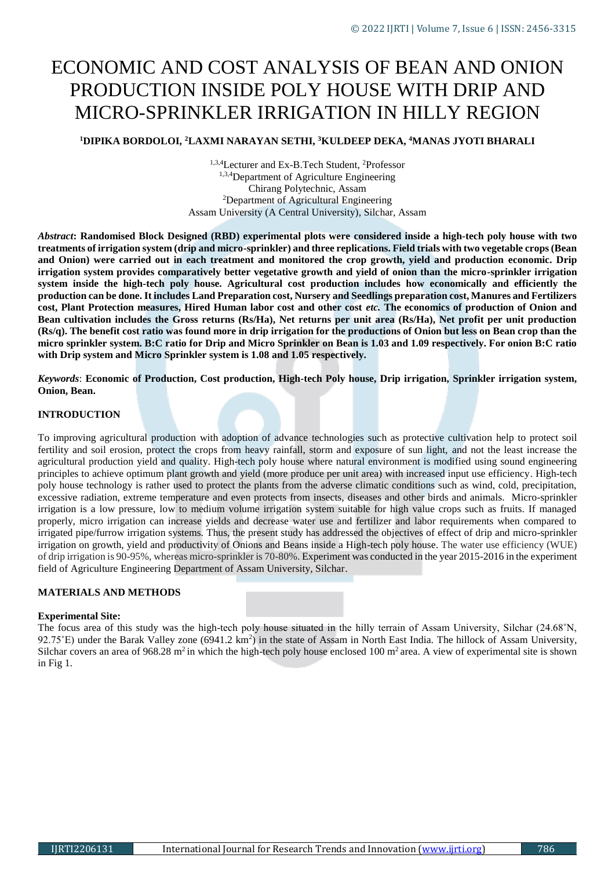# ECONOMIC AND COST ANALYSIS OF BEAN AND ONION PRODUCTION INSIDE POLY HOUSE WITH DRIP AND MICRO-SPRINKLER IRRIGATION IN HILLY REGION

**<sup>1</sup>DIPIKA BORDOLOI, <sup>2</sup>LAXMI NARAYAN SETHI, <sup>3</sup>KULDEEP DEKA, <sup>4</sup>MANAS JYOTI BHARALI**

<sup>1,3,4</sup>Lecturer and Ex-B.Tech Student, <sup>2</sup>Professor 1,3,4Department of Agriculture Engineering Chirang Polytechnic, Assam <sup>2</sup>Department of Agricultural Engineering Assam University (A Central University), Silchar, Assam

*Abstract***: Randomised Block Designed (RBD) experimental plots were considered inside a high-tech poly house with two treatments of irrigation system (drip and micro-sprinkler) and three replications. Field trials with two vegetable crops (Bean and Onion) were carried out in each treatment and monitored the crop growth, yield and production economic. Drip irrigation system provides comparatively better vegetative growth and yield of onion than the micro-sprinkler irrigation system inside the high-tech poly house. Agricultural cost production includes how economically and efficiently the production can be done. It includes Land Preparation cost, Nursery and Seedlings preparation cost, Manures and Fertilizers cost, Plant Protection measures, Hired Human labor cost and other cost** *etc.* **The economics of production of Onion and Bean cultivation includes the Gross returns (Rs/Ha), Net returns per unit area (Rs/Ha), Net profit per unit production (Rs/q). The benefit cost ratio was found more in drip irrigation for the productions of Onion but less on Bean crop than the micro sprinkler system. B:C ratio for Drip and Micro Sprinkler on Bean is 1.03 and 1.09 respectively. For onion B:C ratio with Drip system and Micro Sprinkler system is 1.08 and 1.05 respectively.**

*Keywords*: **Economic of Production, Cost production, High-tech Poly house, Drip irrigation, Sprinkler irrigation system, Onion, Bean.**

#### **INTRODUCTION**

To improving agricultural production with adoption of advance technologies such as protective cultivation help to protect soil fertility and soil erosion, protect the crops from heavy rainfall, storm and exposure of sun light, and not the least increase the agricultural production yield and quality. High-tech poly house where natural environment is modified using sound engineering principles to achieve optimum plant growth and yield (more produce per unit area) with increased input use efficiency. High-tech poly house technology is rather used to protect the plants from the adverse climatic conditions such as wind, cold, precipitation, excessive radiation, extreme temperature and even protects from insects, diseases and other birds and animals. Micro-sprinkler irrigation is a low pressure, low to medium volume irrigation system suitable for high value crops such as fruits. If managed properly, micro irrigation can increase yields and decrease water use and fertilizer and labor requirements when compared to irrigated pipe/furrow irrigation systems. Thus, the present study has addressed the objectives of effect of drip and micro-sprinkler irrigation on growth, yield and productivity of Onions and Beans inside a High-tech poly house. The water use efficiency (WUE) of drip irrigation is 90-95%, whereas micro-sprinkler is 70-80%. Experiment was conducted in the year 2015-2016 in the experiment field of Agriculture Engineering Department of Assam University, Silchar.

## **MATERIALS AND METHODS**

#### **Experimental Site:**

The focus area of this study was the high-tech poly house situated in the hilly terrain of Assam University, Silchar (24.68˚N,  $92.75^{\circ}$ E) under the Barak Valley zone (6941.2 km<sup>2</sup>) in the state of Assam in North East India. The hillock of Assam University, Silchar covers an area of 968.28 m<sup>2</sup> in which the high-tech poly house enclosed 100 m<sup>2</sup> area. A view of experimental site is shown in Fig 1.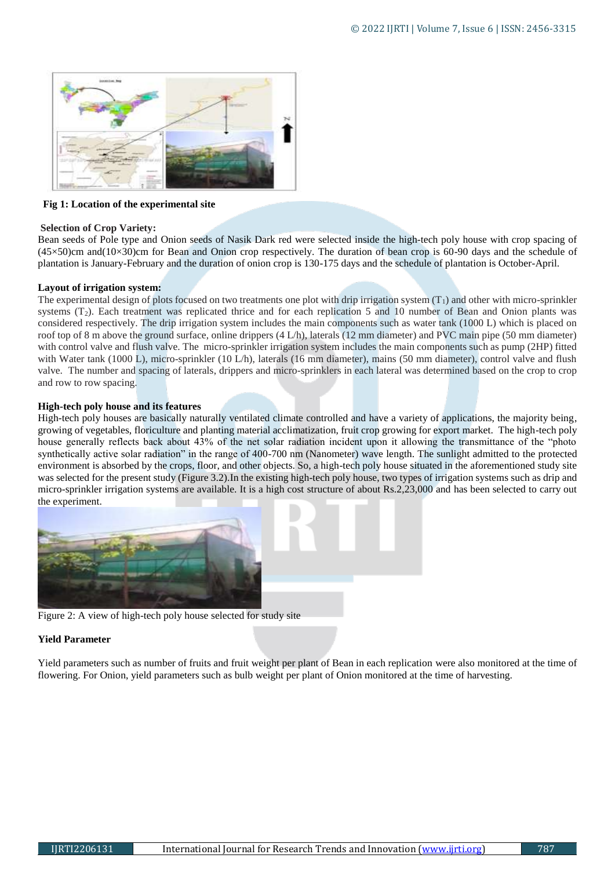

#### **Fig 1: Location of the experimental site**

#### **Selection of Crop Variety:**

Bean seeds of Pole type and Onion seeds of Nasik Dark red were selected inside the high-tech poly house with crop spacing of  $(45\times50)$ cm and $(10\times30)$ cm for Bean and Onion crop respectively. The duration of bean crop is 60-90 days and the schedule of plantation is January-February and the duration of onion crop is 130-175 days and the schedule of plantation is October-April.

#### **Layout of irrigation system:**

The experimental design of plots focused on two treatments one plot with drip irrigation system  $(T_1)$  and other with micro-sprinkler systems  $(T_2)$ . Each treatment was replicated thrice and for each replication 5 and 10 number of Bean and Onion plants was considered respectively. The drip irrigation system includes the main components such as water tank (1000 L) which is placed on roof top of 8 m above the ground surface, online drippers (4 L/h), laterals (12 mm diameter) and PVC main pipe (50 mm diameter) with control valve and flush valve. The micro-sprinkler irrigation system includes the main components such as pump (2HP) fitted with Water tank (1000 L), micro-sprinkler (10 L/h), laterals (16 mm diameter), mains (50 mm diameter), control valve and flush valve. The number and spacing of laterals, drippers and micro-sprinklers in each lateral was determined based on the crop to crop and row to row spacing.

## **High-tech poly house and its features**

High-tech poly houses are basically naturally ventilated climate controlled and have a variety of applications, the majority being, growing of vegetables, floriculture and planting material acclimatization, fruit crop growing for export market. The high-tech poly house generally reflects back about 43% of the net solar radiation incident upon it allowing the transmittance of the "photo synthetically active solar radiation" in the range of 400-700 nm (Nanometer) wave length. The sunlight admitted to the protected environment is absorbed by the crops, floor, and other objects. So, a high-tech poly house situated in the aforementioned study site was selected for the present study (Figure 3.2).In the existing high-tech poly house, two types of irrigation systems such as drip and micro-sprinkler irrigation systems are available. It is a high cost structure of about Rs.2,23,000 and has been selected to carry out the experiment.



Figure 2: A view of high-tech poly house selected for study site

#### **Yield Parameter**

Yield parameters such as number of fruits and fruit weight per plant of Bean in each replication were also monitored at the time of flowering. For Onion, yield parameters such as bulb weight per plant of Onion monitored at the time of harvesting.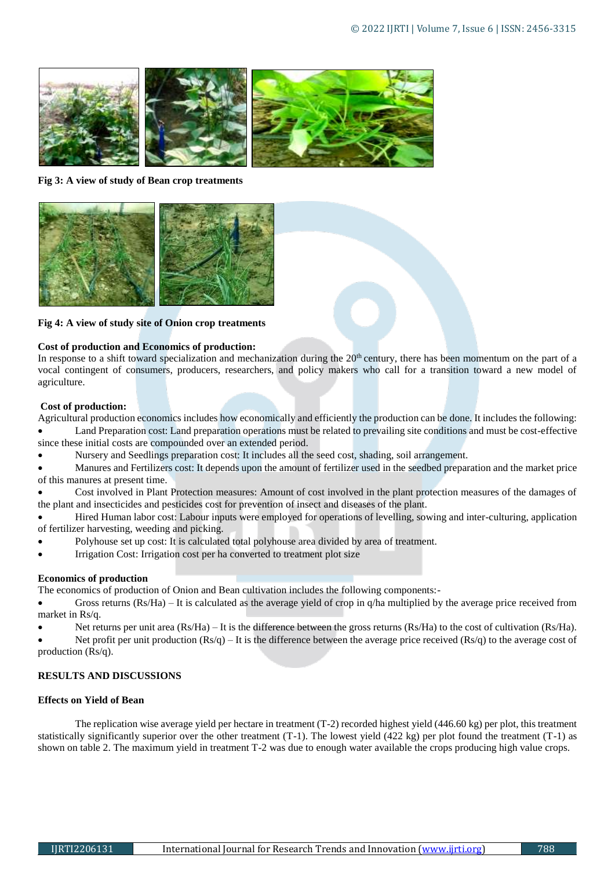

**Fig 3: A view of study of Bean crop treatments** 



**Fig 4: A view of study site of Onion crop treatments**

# **Cost of production and Economics of production:**

In response to a shift toward specialization and mechanization during the  $20<sup>th</sup>$  century, there has been momentum on the part of a vocal contingent of consumers, producers, researchers, and policy makers who call for a transition toward a new model of agriculture.

# **Cost of production:**

Agricultural production economics includes how economically and efficiently the production can be done. It includes the following: Land Preparation cost: Land preparation operations must be related to prevailing site conditions and must be cost-effective since these initial costs are compounded over an extended period.

Nursery and Seedlings preparation cost: It includes all the seed cost, shading, soil arrangement.

 Manures and Fertilizers cost: It depends upon the amount of fertilizer used in the seedbed preparation and the market price of this manures at present time.

 Cost involved in Plant Protection measures: Amount of cost involved in the plant protection measures of the damages of the plant and insecticides and pesticides cost for prevention of insect and diseases of the plant.

 Hired Human labor cost: Labour inputs were employed for operations of levelling, sowing and inter-culturing, application of fertilizer harvesting, weeding and picking.

- Polyhouse set up cost: It is calculated total polyhouse area divided by area of treatment.
- Irrigation Cost: Irrigation cost per ha converted to treatment plot size

# **Economics of production**

The economics of production of Onion and Bean cultivation includes the following components:-

- Gross returns (Rs/Ha) It is calculated as the average yield of crop in q/ha multiplied by the average price received from market in Rs/q.
- Net returns per unit area (Rs/Ha) It is the difference between the gross returns (Rs/Ha) to the cost of cultivation (Rs/Ha).

Net profit per unit production  $(Rs/q)$  – It is the difference between the average price received  $(Rs/q)$  to the average cost of production (Rs/q).

# **RESULTS AND DISCUSSIONS**

# **Effects on Yield of Bean**

The replication wise average yield per hectare in treatment (T-2) recorded highest yield (446.60 kg) per plot, this treatment statistically significantly superior over the other treatment (T-1). The lowest yield (422 kg) per plot found the treatment (T-1) as shown on table 2. The maximum yield in treatment T-2 was due to enough water available the crops producing high value crops.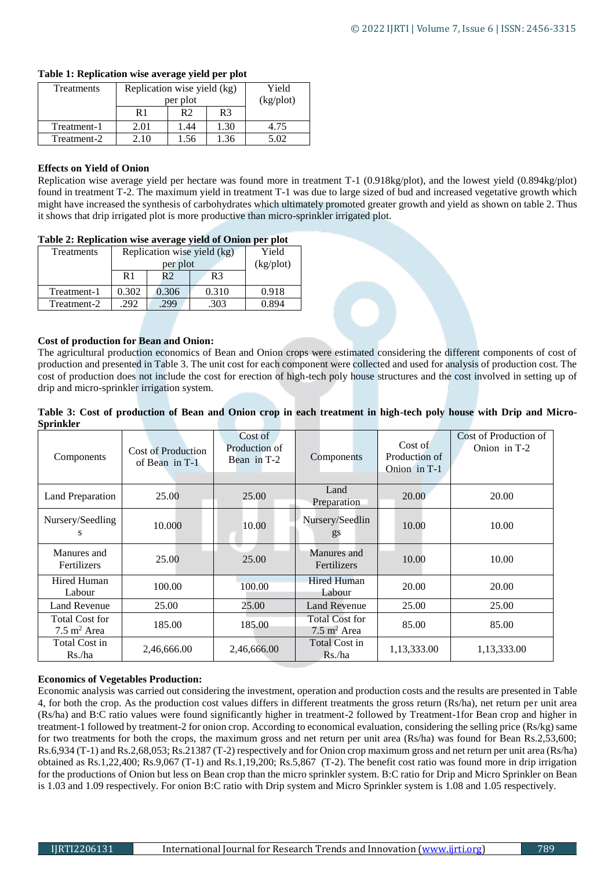| <b>Treatments</b> | Replication wise yield (kg) |                |                | Yield                 |
|-------------------|-----------------------------|----------------|----------------|-----------------------|
|                   | per plot                    |                |                | (kg <sub>p</sub> lot) |
|                   | R1                          | R <sub>2</sub> | R <sub>3</sub> |                       |
| Treatment-1       | 2.01                        | . 44           | 1.30           | 4.75                  |
| Treatment-2       | $\sim$ 10 $-$               | 1.56           | 1.36           | 5.02                  |

## **Table 1: Replication wise average yield per plot**

## **Effects on Yield of Onion**

Replication wise average yield per hectare was found more in treatment T-1 (0.918kg/plot), and the lowest yield (0.894kg/plot) found in treatment T-2. The maximum yield in treatment T-1 was due to large sized of bud and increased vegetative growth which might have increased the synthesis of carbohydrates which ultimately promoted greater growth and yield as shown on table 2. Thus it shows that drip irrigated plot is more productive than micro-sprinkler irrigated plot.

## **Table 2: Replication wise average yield of Onion per plot**

| Treatments  | Replication wise yield (kg) | Yield          |                |                       |
|-------------|-----------------------------|----------------|----------------|-----------------------|
|             | per plot                    |                |                | (kg <sub>p</sub> lot) |
|             | R <sub>1</sub>              | R <sub>2</sub> | R <sub>3</sub> |                       |
| Treatment-1 | 0.302                       | 0.306          | 0.310          | 0.918                 |
| Treatment-2 | 292                         | 299            | .303           | 0.894                 |

# **Cost of production for Bean and Onion:**

The agricultural production economics of Bean and Onion crops were estimated considering the different components of cost of production and presented in Table 3. The unit cost for each component were collected and used for analysis of production cost. The cost of production does not include the cost for erection of high-tech poly house structures and the cost involved in setting up of drip and micro-sprinkler irrigation system.

**Table 3: Cost of production of Bean and Onion crop in each treatment in high-tech poly house with Drip and Micro-Sprinkler**

| эргіпкіег                                       |                                        |                                         |                                          |                                          |                                       |
|-------------------------------------------------|----------------------------------------|-----------------------------------------|------------------------------------------|------------------------------------------|---------------------------------------|
| Components                                      | Cost of Production<br>of Bean in $T-1$ | Cost of<br>Production of<br>Bean in T-2 | Components                               | Cost of<br>Production of<br>Onion in T-1 | Cost of Production of<br>Onion in T-2 |
| Land Preparation                                | 25.00                                  | 25.00                                   | Land<br>Preparation                      | 20.00                                    | 20.00                                 |
| Nursery/Seedling<br>S                           | 10.000                                 | 10.00                                   | Nursery/Seedlin<br>gs                    | 10.00                                    | 10.00                                 |
| Manures and<br><b>Fertilizers</b>               | 25.00                                  | 25.00                                   | Manures and<br>Fertilizers               | 10.00                                    | 10.00                                 |
| Hired Human<br>Labour                           | 100.00                                 | 100.00                                  | <b>Hired Human</b><br>Labour             | 20.00                                    | 20.00                                 |
| <b>Land Revenue</b>                             | 25.00                                  | 25.00                                   | <b>Land Revenue</b>                      | 25.00                                    | 25.00                                 |
| <b>Total Cost for</b><br>$7.5 \text{ m}^2$ Area | 185.00                                 | 185.00                                  | Total Cost for<br>$7.5 \text{ m}^2$ Area | 85.00                                    | 85.00                                 |
| Total Cost in<br>Rs./ha                         | 2,46,666.00                            | 2,46,666.00                             | Total Cost in<br>Rs./ha                  | 1,13,333.00                              | 1,13,333.00                           |

# **Economics of Vegetables Production:**

Economic analysis was carried out considering the investment, operation and production costs and the results are presented in Table 4, for both the crop. As the production cost values differs in different treatments the gross return (Rs/ha), net return per unit area (Rs/ha) and B:C ratio values were found significantly higher in treatment-2 followed by Treatment-1for Bean crop and higher in treatment-1 followed by treatment-2 for onion crop. According to economical evaluation, considering the selling price (Rs/kg) same for two treatments for both the crops, the maximum gross and net return per unit area (Rs/ha) was found for Bean Rs.2,53,600; Rs.6,934 (T-1) and Rs.2,68,053; Rs.21387 (T-2) respectively and for Onion crop maximum gross and net return per unit area (Rs/ha) obtained as Rs.1,22,400; Rs.9,067 (T-1) and Rs.1,19,200; Rs.5,867 (T-2). The benefit cost ratio was found more in drip irrigation for the productions of Onion but less on Bean crop than the micro sprinkler system. B:C ratio for Drip and Micro Sprinkler on Bean is 1.03 and 1.09 respectively. For onion B:C ratio with Drip system and Micro Sprinkler system is 1.08 and 1.05 respectively.